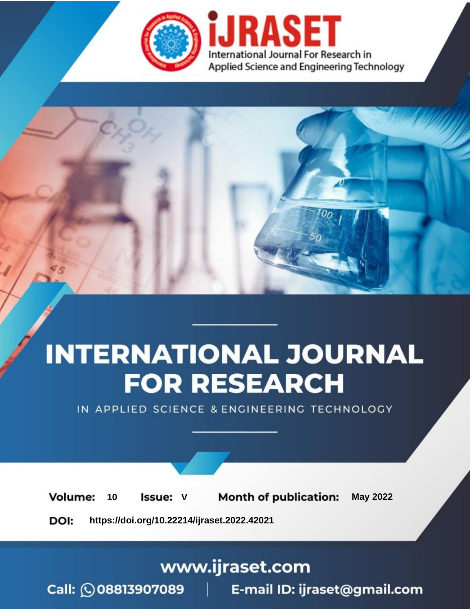

# **INTERNATIONAL JOURNAL FOR RESEARCH**

IN APPLIED SCIENCE & ENGINEERING TECHNOLOGY

Volume: **Month of publication: May 2022** 10 **Issue: V** 

DOI: https://doi.org/10.22214/ijraset.2022.42021

www.ijraset.com

Call: 008813907089 | E-mail ID: ijraset@gmail.com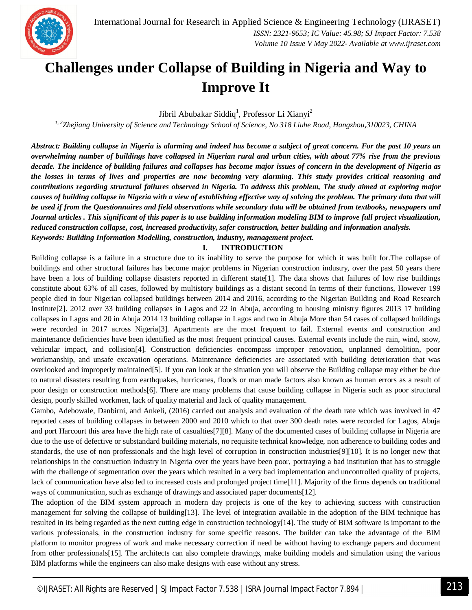### **Challenges under Collapse of Building in Nigeria and Way to Improve It**

Jibril Abubakar Siddiq<sup>1</sup>, Professor Li Xianyi<sup>2</sup>

*1, 2Zhejiang University of Science and Technology School of Science, No 318 Liuhe Road, Hangzhou,310023, CHINA*

*Abstract: Building collapse in Nigeria is alarming and indeed has become a subject of great concern. For the past 10 years an overwhelming number of buildings have collapsed in Nigerian rural and urban cities, with about 77% rise from the previous decade. The incidence of building failures and collapses has become major issues of concern in the development of Nigeria as the losses in terms of lives and properties are now becoming very alarming. This study provides critical reasoning and contributions regarding structural failures observed in Nigeria. To address this problem, The study aimed at exploring major causes of building collapse in Nigeria with a view of establishing effective way of solving the problem. The primary data that will be used if from the Questionnaires and field observations while secondary data will be obtained from textbooks, newspapers and Journal articles . This significant of this paper is to use building information modeling BIM to improve full project visualization, reduced construction collapse, cost, increased productivity, safer construction, better building and information analysis. Keywords: Building Information Modelling, construction, industry, management project.*

#### **I. INTRODUCTION**

Building collapse is a failure in a structure due to its inability to serve the purpose for which it was built for.The collapse of buildings and other structural failures has become major problems in Nigerian construction industry, over the past 50 years there have been a lots of building collapse disasters reported in different state[1]. The data shows that failures of low rise buildings constitute about 63% of all cases, followed by multistory buildings as a distant second In terms of their functions, However 199 people died in four Nigerian collapsed buildings between 2014 and 2016, according to the Nigerian Building and Road Research Institute[2]. 2012 over 33 building collapses in Lagos and 22 in Abuja, according to housing ministry figures 2013 17 building collapses in Lagos and 20 in Abuja 2014 13 building collapse in Lagos and two in Abuja More than 54 cases of collapsed buildings were recorded in 2017 across Nigeria[3]. Apartments are the most frequent to fail. External events and construction and maintenance deficiencies have been identified as the most frequent principal causes. External events include the rain, wind, snow, vehicular impact, and collision[4]. Construction deficiencies encompass improper renovation, unplanned demolition, poor workmanship, and unsafe excavation operations. Maintenance deficiencies are associated with building deterioration that was overlooked and improperly maintained[5]. If you can look at the situation you will observe the Building collapse may either be due to natural disasters resulting from earthquakes, hurricanes, floods or man made factors also known as human errors as a result of poor design or construction methods[6]. There are many problems that cause building collapse in Nigeria such as poor structural design, poorly skilled workmen, lack of quality material and lack of quality management.

Gambo, Adebowale, Danbirni, and Ankeli, (2016) carried out analysis and evaluation of the death rate which was involved in 47 reported cases of building collapses in between 2000 and 2010 which to that over 300 death rates were recorded for Lagos, Abuja and port Harcourt this area have the high rate of casualties[7][8]. Many of the documented cases of building collapse in Nigeria are due to the use of defective or substandard building materials, no requisite technical knowledge, non adherence to building codes and standards, the use of non professionals and the high level of corruption in construction industries[9][10]. It is no longer new that relationships in the construction industry in Nigeria over the years have been poor, portraying a bad institution that has to struggle with the challenge of segmentation over the years which resulted in a very bad implementation and uncontrolled quality of projects, lack of communication have also led to increased costs and prolonged project time[11]. Majority of the firms depends on traditional ways of communication, such as exchange of drawings and associated paper documents[12].

The adoption of the BIM system approach in modern day projects is one of the key to achieving success with construction management for solving the collapse of building[13]. The level of integration available in the adoption of the BIM technique has resulted in its being regarded as the next cutting edge in construction technology[14]. The study of BIM software is important to the various professionals, in the construction industry for some specific reasons. The builder can take the advantage of the BIM platform to monitor progress of work and make necessary correction if need be without having to exchange papers and document from other professionals[15]. The architects can also complete drawings, make building models and simulation using the various BIM platforms while the engineers can also make designs with ease without any stress.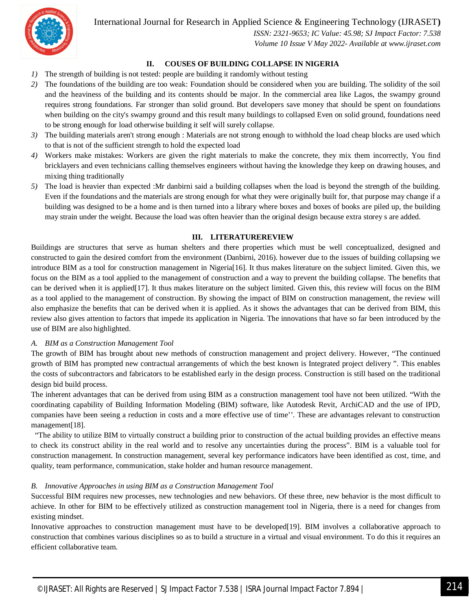

*ISSN: 2321-9653; IC Value: 45.98; SJ Impact Factor: 7.538 Volume 10 Issue V May 2022- Available at www.ijraset.com*

#### **II. COUSES OF BUILDING COLLAPSE IN NIGERIA**

- *1)* The strength of building is not tested: people are building it randomly without testing
- *2)* The foundations of the building are too weak: Foundation should be considered when you are building. The solidity of the soil and the heaviness of the building and its contents should be major. In the commercial area like Lagos, the swampy ground requires strong foundations. Far stronger than solid ground. But developers save money that should be spent on foundations when building on the city's swampy ground and this result many buildings to collapsed Even on solid ground, foundations need to be strong enough for load otherwise building it self will surely collapse.
- *3)* The building materials aren't strong enough : Materials are not strong enough to withhold the load cheap blocks are used which to that is not of the sufficient strength to hold the expected load
- *4)* Workers make mistakes: Workers are given the right materials to make the concrete, they mix them incorrectly, You find bricklayers and even technicians calling themselves engineers without having the knowledge they keep on drawing houses, and mixing thing traditionally
- *5)* The load is heavier than expected :Mr danbirni said a building collapses when the load is beyond the strength of the building. Even if the foundations and the materials are strong enough for what they were originally built for, that purpose may change if a building was designed to be a home and is then turned into a library where boxes and boxes of books are piled up, the building may strain under the weight. Because the load was often heavier than the original design because extra storey s are added.

#### **III. LITERATUREREVIEW**

Buildings are structures that serve as human shelters and there properties which must be well conceptualized, designed and constructed to gain the desired comfort from the environment (Danbirni, 2016). however due to the issues of building collapsing we introduce BIM as a tool for construction management in Nigeria[16]. It thus makes literature on the subject limited. Given this, we focus on the BIM as a tool applied to the management of construction and a way to prevent the building collapse. The benefits that can be derived when it is applied[17]. It thus makes literature on the subject limited. Given this, this review will focus on the BIM as a tool applied to the management of construction. By showing the impact of BIM on construction management, the review will also emphasize the benefits that can be derived when it is applied. As it shows the advantages that can be derived from BIM, this review also gives attention to factors that impede its application in Nigeria. The innovations that have so far been introduced by the use of BIM are also highlighted.

#### *A. BIM as a Construction Management Tool*

The growth of BIM has brought about new methods of construction management and project delivery. However, "The continued growth of BIM has prompted new contractual arrangements of which the best known is Integrated project delivery ". This enables the costs of subcontractors and fabricators to be established early in the design process. Construction is still based on the traditional design bid build process.

The inherent advantages that can be derived from using BIM as a construction management tool have not been utilized. "With the coordinating capability of Building Information Modeling (BIM) software, like Autodesk Revit, ArchiCAD and the use of IPD, companies have been seeing a reduction in costs and a more effective use of time''. These are advantages relevant to construction management[18].

"The ability to utilize BIM to virtually construct a building prior to construction of the actual building provides an effective means to check its construct ability in the real world and to resolve any uncertainties during the process". BIM is a valuable tool for construction management. In construction management, several key performance indicators have been identified as cost, time, and quality, team performance, communication, stake holder and human resource management.

#### *B. Innovative Approaches in using BIM as a Construction Management Tool*

Successful BIM requires new processes, new technologies and new behaviors. Of these three, new behavior is the most difficult to achieve. In other for BIM to be effectively utilized as construction management tool in Nigeria, there is a need for changes from existing mindset.

Innovative approaches to construction management must have to be developed[19]. BIM involves a collaborative approach to construction that combines various disciplines so as to build a structure in a virtual and visual environment. To do this it requires an efficient collaborative team.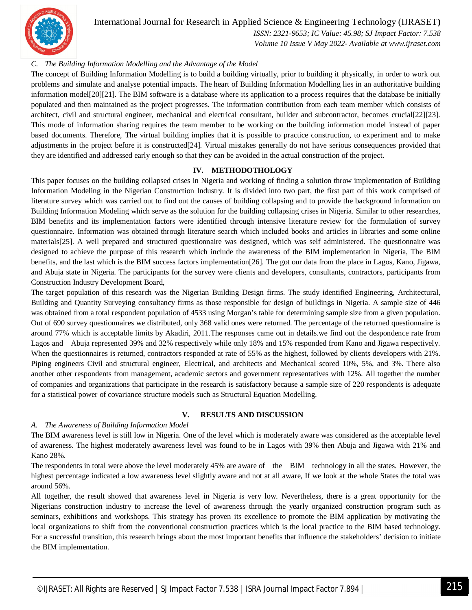

*ISSN: 2321-9653; IC Value: 45.98; SJ Impact Factor: 7.538*

*Volume 10 Issue V May 2022- Available at www.ijraset.com*

#### *C. The Building Information Modelling and the Advantage of the Model*

The concept of Building Information Modelling is to build a building virtually, prior to building it physically, in order to work out problems and simulate and analyse potential impacts. The heart of Building Information Modelling lies in an authoritative building information model[20][21]. The BIM software is a database where its application to a process requires that the database be initially populated and then maintained as the project progresses. The information contribution from each team member which consists of architect, civil and structural engineer, mechanical and electrical consultant, builder and subcontractor, becomes crucial[22][23]. This mode of information sharing requires the team member to be working on the building information model instead of paper based documents. Therefore, The virtual building implies that it is possible to practice construction, to experiment and to make adjustments in the project before it is constructed[24]. Virtual mistakes generally do not have serious consequences provided that they are identified and addressed early enough so that they can be avoided in the actual construction of the project.

#### **IV. METHODOTHOLOGY**

This paper focuses on the building collapsed crises in Nigeria and working of finding a solution throw implementation of Building Information Modeling in the Nigerian Construction Industry. It is divided into two part, the first part of this work comprised of literature survey which was carried out to find out the causes of building collapsing and to provide the background information on Building Information Modeling which serve as the solution for the building collapsing crises in Nigeria. Similar to other researches, BIM benefits and its implementation factors were identified through intensive literature review for the formulation of survey questionnaire. Information was obtained through literature search which included books and articles in libraries and some online materials[25]. A well prepared and structured questionnaire was designed, which was self administered. The questionnaire was designed to achieve the purpose of this research which include the awareness of the BIM implementation in Nigeria, The BIM benefits, and the last which is the BIM success factors implementation[26]. The got our data from the place in Lagos, Kano, Jigawa, and Abuja state in Nigeria. The participants for the survey were clients and developers, consultants, contractors, participants from Construction Industry Development Board,

The target population of this research was the Nigerian Building Design firms. The study identified Engineering, Architectural, Building and Quantity Surveying consultancy firms as those responsible for design of buildings in Nigeria. A sample size of 446 was obtained from a total respondent population of 4533 using Morgan's table for determining sample size from a given population. Out of 690 survey questionnaires we distributed, only 368 valid ones were returned. The percentage of the returned questionnaire is around 77% which is acceptable limits by Akadiri, 2011.The responses came out in details.we find out the despondence rate from Lagos and Abuja represented 39% and 32% respectively while only 18% and 15% responded from Kano and Jigawa respectively. When the questionnaires is returned, contractors responded at rate of 55% as the highest, followed by clients developers with 21%. Piping engineers Civil and structural engineer, Electrical, and architects and Mechanical scored 10%, 5%, and 3%. There also another other respondents from management, academic sectors and government representatives with 12%. All together the number of companies and organizations that participate in the research is satisfactory because a sample size of 220 respondents is adequate for a statistical power of covariance structure models such as Structural Equation Modelling.

#### **V. RESULTS AND DISCUSSION**

#### *A. The Awareness of Building Information Model*

The BIM awareness level is still low in Nigeria. One of the level which is moderately aware was considered as the acceptable level of awareness. The highest moderately awareness level was found to be in Lagos with 39% then Abuja and Jigawa with 21% and Kano 28%.

The respondents in total were above the level moderately 45% are aware of the BIM technology in all the states. However, the highest percentage indicated a low awareness level slightly aware and not at all aware, If we look at the whole States the total was around 56%.

All together, the result showed that awareness level in Nigeria is very low. Nevertheless, there is a great opportunity for the Nigerians construction industry to increase the level of awareness through the yearly organized construction program such as seminars, exhibitions and workshops. This strategy has proven its excellence to promote the BIM application by motivating the local organizations to shift from the conventional construction practices which is the local practice to the BIM based technology. For a successful transition, this research brings about the most important benefits that influence the stakeholders' decision to initiate the BIM implementation.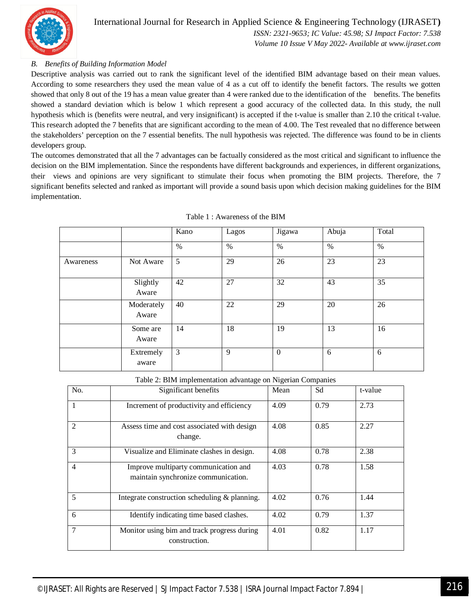

#### International Journal for Research in Applied Science & Engineering Technology (IJRASET**)** *ISSN: 2321-9653; IC Value: 45.98; SJ Impact Factor: 7.538*

*Volume 10 Issue V May 2022- Available at www.ijraset.com*

#### *B. Benefits of Building Information Model*

Descriptive analysis was carried out to rank the significant level of the identified BIM advantage based on their mean values. According to some researchers they used the mean value of 4 as a cut off to identify the benefit factors. The results we gotten showed that only 8 out of the 19 has a mean value greater than 4 were ranked due to the identification of the benefits. The benefits showed a standard deviation which is below 1 which represent a good accuracy of the collected data. In this study, the null hypothesis which is (benefits were neutral, and very insignificant) is accepted if the t-value is smaller than 2.10 the critical t-value. This research adopted the 7 benefits that are significant according to the mean of 4.00. The Test revealed that no difference between the stakeholders' perception on the 7 essential benefits. The null hypothesis was rejected. The difference was found to be in clients developers group.

The outcomes demonstrated that all the 7 advantages can be factually considered as the most critical and significant to influence the decision on the BIM implementation. Since the respondents have different backgrounds and experiences, in different organizations, their views and opinions are very significant to stimulate their focus when promoting the BIM projects. Therefore, the 7 significant benefits selected and ranked as important will provide a sound basis upon which decision making guidelines for the BIM implementation.

|           |                     | Kano | Lagos | Jigawa       | Abuja | Total |
|-----------|---------------------|------|-------|--------------|-------|-------|
|           |                     | $\%$ | $\%$  | $\%$         | %     | $\%$  |
| Awareness | Not Aware           | 5    | 29    | 26           | 23    | 23    |
|           | Slightly<br>Aware   | 42   | 27    | 32           | 43    | 35    |
|           | Moderately<br>Aware | 40   | 22    | 29           | 20    | 26    |
|           | Some are<br>Aware   | 14   | 18    | 19           | 13    | 16    |
|           | Extremely<br>aware  | 3    | 9     | $\mathbf{0}$ | 6     | 6     |

| Table 1: Awareness of the BIM |  |
|-------------------------------|--|
|-------------------------------|--|

Table 2: BIM implementation advantage on Nigerian Companies

| No.            | Significant benefits                                                        | Mean | Sd   | t-value |
|----------------|-----------------------------------------------------------------------------|------|------|---------|
| 1              | Increment of productivity and efficiency                                    | 4.09 | 0.79 | 2.73    |
| $\mathfrak{D}$ | Assess time and cost associated with design<br>change.                      | 4.08 | 0.85 | 2.27    |
| 3              | Visualize and Eliminate clashes in design.                                  | 4.08 | 0.78 | 2.38    |
| $\overline{4}$ | Improve multiparty communication and<br>maintain synchronize communication. | 4.03 | 0.78 | 1.58    |
| 5              | Integrate construction scheduling & planning.                               | 4.02 | 0.76 | 1.44    |
| 6              | Identify indicating time based clashes.                                     | 4.02 | 0.79 | 1.37    |
| 7              | Monitor using bim and track progress during<br>construction.                | 4.01 | 0.82 | 1.17    |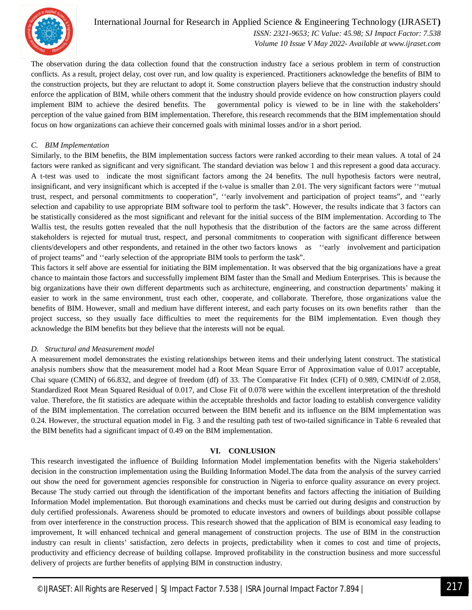

*ISSN: 2321-9653; IC Value: 45.98; SJ Impact Factor: 7.538 Volume 10 Issue V May 2022- Available at www.ijraset.com*

The observation during the data collection found that the construction industry face a serious problem in term of construction conflicts. As a result, project delay, cost over run, and low quality is experienced. Practitioners acknowledge the benefits of BIM to the construction projects, but they are reluctant to adopt it. Some construction players believe that the construction industry should enforce the application of BIM, while others comment that the industry should provide evidence on how construction players could implement BIM to achieve the desired benefits. The governmental policy is viewed to be in line with the stakeholders' perception of the value gained from BIM implementation. Therefore, this research recommends that the BIM implementation should focus on how organizations can achieve their concerned goals with minimal losses and/or in a short period.

#### *C. BIM Implementation*

Similarly, to the BIM benefits, the BIM implementation success factors were ranked according to their mean values. A total of 24 factors were ranked as significant and very significant. The standard deviation was below 1 and this represent a good data accuracy. A t-test was used to indicate the most significant factors among the 24 benefits. The null hypothesis factors were neutral, insignificant, and very insignificant which is accepted if the t-value is smaller than 2.01. The very significant factors were ''mutual trust, respect, and personal commitments to cooperation", ''early involvement and participation of project teams", and ''early selection and capability to use appropriate BIM software tool to perform the task". However, the results indicate that 3 factors can be statistically considered as the most significant and relevant for the initial success of the BIM implementation. According to The Wallis test, the results gotten revealed that the null hypothesis that the distribution of the factors are the same across different stakeholders is rejected for mutual trust, respect, and personal commitments to cooperation with significant difference between clients/developers and other respondents, and retained in the other two factors knows as ''early involvement and participation of project teams" and ''early selection of the appropriate BIM tools to perform the task".

This factors it self above are essential for initiating the BIM implementation. It was observed that the big organizations have a great chance to maintain those factors and successfully implement BIM faster than the Small and Medium Enterprises. This is because the big organizations have their own different departments such as architecture, engineering, and construction departments' making it easier to work in the same environment, trust each other, cooperate, and collaborate. Therefore, those organizations value the benefits of BIM. However, small and medium have different interest, and each party focuses on its own benefits rather than the project success, so they usually face difficulties to meet the requirements for the BIM implementation. Even though they acknowledge the BIM benefits but they believe that the interests will not be equal.

#### *D. Structural and Measurement model*

A measurement model demonstrates the existing relationships between items and their underlying latent construct. The statistical analysis numbers show that the measurement model had a Root Mean Square Error of Approximation value of 0.017 acceptable, Chai square (CMIN) of 66.832, and degree of freedom (df) of 33. The Comparative Fit Index (CFI) of 0.989, CMIN/df of 2.058, Standardized Root Mean Squared Residual of 0.017, and Close Fit of 0.078 were within the excellent interpretation of the threshold value. Therefore, the fit statistics are adequate within the acceptable thresholds and factor loading to establish convergence validity of the BIM implementation. The correlation occurred between the BIM benefit and its influence on the BIM implementation was 0.24. However, the structural equation model in Fig. 3 and the resulting path test of two-tailed significance in Table 6 revealed that the BIM benefits had a significant impact of 0.49 on the BIM implementation.

#### **VI. CONLUSION**

This research investigated the influence of Building Information Model implementation benefits with the Nigeria stakeholders' decision in the construction implementation using the Building Information Model.The data from the analysis of the survey carried out show the need for government agencies responsible for construction in Nigeria to enforce quality assurance on every project. Because The study carried out through the identification of the important benefits and factors affecting the initiation of Building Information Model implementation. But thorough examinations and checks must be carried out during designs and construction by duly certified professionals. Awareness should be promoted to educate investors and owners of buildings about possible collapse from over interference in the construction process. This research showed that the application of BIM is economical easy leading to improvement, It will enhanced technical and general management of construction projects. The use of BIM in the construction industry can result in clients' satisfaction, zero defects in projects, predictability when it comes to cost and time of projects, productivity and efficiency decrease of building collapse. Improved profitability in the construction business and more successful delivery of projects are further benefits of applying BIM in construction industry.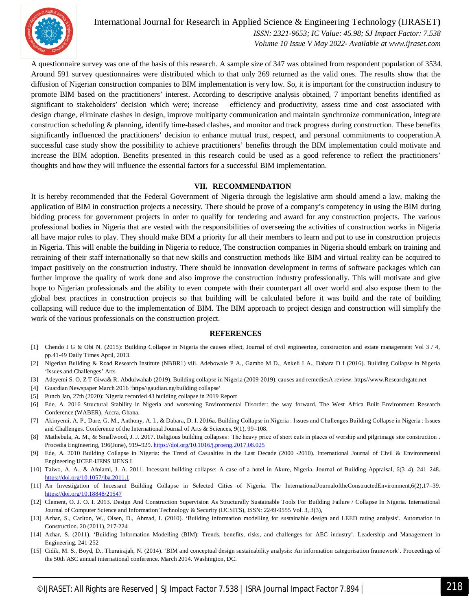

*ISSN: 2321-9653; IC Value: 45.98; SJ Impact Factor: 7.538 Volume 10 Issue V May 2022- Available at www.ijraset.com*

A questionnaire survey was one of the basis of this research. A sample size of 347 was obtained from respondent population of 3534. Around 591 survey questionnaires were distributed which to that only 269 returned as the valid ones. The results show that the diffusion of Nigerian construction companies to BIM implementation is very low. So, it is important for the construction industry to promote BIM based on the practitioners' interest. According to descriptive analysis obtained, 7 important benefits identified as significant to stakeholders' decision which were; increase efficiency and productivity, assess time and cost associated with design change, eliminate clashes in design, improve multiparty communication and maintain synchronize communication, integrate construction scheduling & planning, identify time-based clashes, and monitor and track progress during construction. These benefits significantly influenced the practitioners' decision to enhance mutual trust, respect, and personal commitments to cooperation.A successful case study show the possibility to achieve practitioners' benefits through the BIM implementation could motivate and increase the BIM adoption. Benefits presented in this research could be used as a good reference to reflect the practitioners' thoughts and how they will influence the essential factors for a successful BIM implementation.

#### **VII. RECOMMENDATION**

It is hereby recommended that the Federal Government of Nigeria through the legislative arm should amend a law, making the application of BIM in construction projects a necessity. There should be prove of a company's competency in using the BIM during bidding process for government projects in order to qualify for tendering and award for any construction projects. The various professional bodies in Nigeria that are vested with the responsibilities of overseeing the activities of construction works in Nigeria all have major roles to play. They should make BIM a priority for all their members to learn and put to use in construction projects in Nigeria. This will enable the building in Nigeria to reduce, The construction companies in Nigeria should embark on training and retraining of their staff internationally so that new skills and construction methods like BIM and virtual reality can be acquired to impact positively on the construction industry. There should be innovation development in terms of software packages which can further improve the quality of work done and also improve the construction industry professionally. This will motivate and give hope to Nigerian professionals and the ability to even compete with their counterpart all over world and also expose them to the global best practices in construction projects so that building will be calculated before it was build and the rate of building collapsing will reduce due to the implementation of BIM. The BIM approach to project design and construction will simplify the work of the various professionals on the construction project.

#### **REFERENCES**

- [1] Chendo I G & Obi N. (2015): Building Collapse in Nigeria the causes effect, Journal of civil engineering, construction and estate management Vol 3 / 4, pp.41-49 Daily Times April, 2013.
- [2] Nigerian Building & Road Research Institute (NBBR1) viii. Adebowale P A., Gambo M D., Ankeli I A., Dabara D I (2016). Building Collapse in Nigeria 'Issues and Challenges' Arts
- [3] Adeyemi S. O, Z T Giwa& R. Abdulwahab (2019). Building collapse in Nigeria (2009-2019), causes and remediesA review. https//www.Researchgate.net
- [4] Guardian Newspaper March 2016 'https//gaudian.ng/building collapse'
- [5] Punch Jan, 27th (2020): Nigeria recorded 43 building collapse in 2019 Report
- [6] Ede, A. 2016 Structural Stability in Nigeria and worsening Environmental Disorder: the way forward. The West Africa Built Environment Research Conference (WABER), Accra, Ghana.
- [7] Akinyemi, A. P., Dare, G. M., Anthony, A. I., & Dabara, D. I. 2016a. Building Collapse in Nigeria : Issues and Challenges Building Collapse in Nigeria : Issues and Challenges. Conference of the International Journal of Arts & Sciences, 9(1), 99–108.
- [8] Mathebula, A. M., & Smallwood, J. J. 2017. Religious building collapses : The heavy price of short cuts in places of worship and pilgrimage site construction . Procedia Engineering, 196(June), 919–929. https://doi.org/10.1016/j.proeng.2017.08.025
- [9] Ede, A. 2010 Building Collapse in Nigeria: the Trend of Casualties in the Last Decade (2000 -2010). International Journal of Civil & Environmental Engineering IJCEE-IJENS IJENS I
- [10] Taiwo, A. A., & Afolami, J. A. 2011. Incessant building collapse: A case of a hotel in Akure, Nigeria. Journal of Building Appraisal, 6(3–4), 241–248. https://doi.org/10.1057/jba.2011.1
- [11] An Investigation of Incessant Building Collapse in Selected Cities of Nigeria. The InternationalJournaloftheConstructedEnvironment,6(2),17–39. https://doi.org/10.18848/21547
- [12] Clement, O. J. O. I. 2013. Design And Construction Supervision As Structurally Sustainable Tools For Building Failure / Collapse In Nigeria. International Journal of Computer Science and Information Technology & Security (IJCSITS), ISSN: 2249-9555 Vol. 3, 3(3),
- [13] Azhar, S., Carlton, W., Olsen, D., Ahmad, I. (2010). 'Building information modelling for sustainable design and LEED rating analysis'. Automation in Construction. 20 (2011), 217-224
- [14] Azhar, S. (2011). 'Building Information Modelling (BIM): Trends, benefits, risks, and challenges for AEC industry'. Leadership and Management in Engineering. 241-252
- [15] Cidik, M. S., Boyd, D., Thurairajah, N. (2014). 'BIM and conceptual design sustainability analysis: An information categorisation framework'. Proceedings of the 50th ASC annual international conference. March 2014. Washington, DC.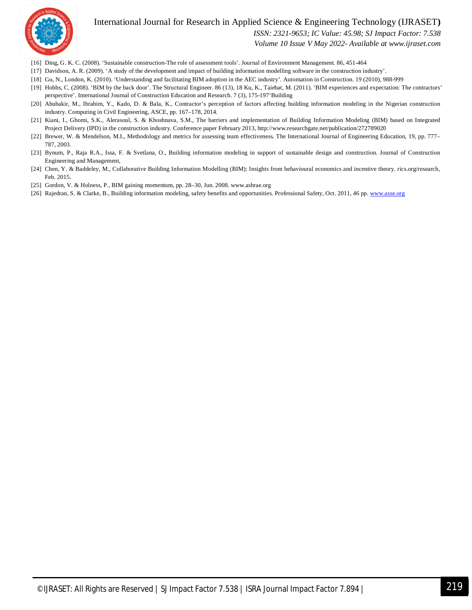

*ISSN: 2321-9653; IC Value: 45.98; SJ Impact Factor: 7.538*

*Volume 10 Issue V May 2022- Available at www.ijraset.com*

- [16] Ding, G. K. C. (2008). 'Sustainable construction-The role of assessment tools'. Journal of Environment Management. 86, 451-464
- [17] Davidson, A. R. (2009). 'A study of the development and impact of building information modelling software in the construction industry'.
- [18] Gu, N., London, K. (2010). 'Understanding and facilitating BIM adoption in the AEC industry'. Automation in Construction. 19 (2010), 988-999
- [19] Hobbs, C. (2008). 'BIM by the back door'. The Structural Engineer. 86 (13), 18 Ku, K., Taiebat, M. (2011). 'BIM experiences and expectation: The contractors' perspective'. International Journal of Construction Education and Research. 7 (3), 175-197'Building
- [20] Abubakir, M., Ibrahim, Y., Kado, D. & Bala, K., Contractor's perception of factors affecting building information modeling in the Nigerian construction industry. Computing in Civil Engineering, ASCE, pp. 167–178, 2014.
- [21] Kiani, I., Ghomi, S.K., Alerasoul, S. & Khoshnava, S.M., The barriers and implementation of Building Information Modeling (BIM) based on Integrated Project Delivery (IPD) in the construction industry. Conference paper February 2013, http://www.researchgate.net/publication/272789020
- [22] Brewer, W. & Mendelson, M.I., Methodology and metrics for assessing team effectiveness. The International Journal of Engineering Education, 19, pp. 777– 787, 2003.
- [23] Bynum, P., Raja R.A., Issa, F. & Svetlana, O., Building information modeling in support of sustainable design and construction. Journal of Construction Engineering and Management,
- [24] Chen, Y. & Baddeley, M., Collaborative Building Information Modelling (BIM): Insights from behavioural economics and incentive theory. rics.org/research, Feb. 2015.
- [25] Gordon, V. & Holness, P., BIM gaining momentum, pp. 28–30, Jun. 2008. www.ashrae.org
- [26] Rajedran, S. & Clarke, B., Building information modeling, safety benefits and opportunities. Professional Safety, Oct. 2011, 46 pp. www.asse.org